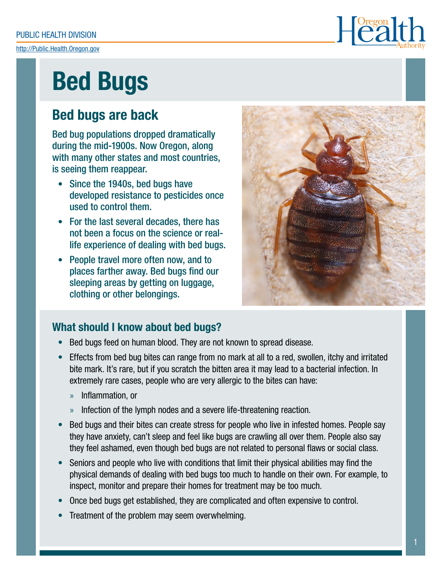PUBLIC HEALTH DIVISION

<http://Public.Health.Oregon.gov>



# Bed Bugs

## Bed bugs are back

Bed bug populations dropped dramatically during the mid-1900s. Now Oregon, along with many other states and most countries, is seeing them reappear.

- Since the 1940s, bed bugs have developed resistance to pesticides once used to control them.
- For the last several decades, there has not been a focus on the science or reallife experience of dealing with bed bugs.
- People travel more often now, and to places farther away. Bed bugs find our sleeping areas by getting on luggage, clothing or other belongings.



## What should I know about bed bugs?

- Bed bugs feed on human blood. They are not known to spread disease.
- Effects from bed bug bites can range from no mark at all to a red, swollen, itchy and irritated bite mark. It's rare, but if you scratch the bitten area it may lead to a bacterial infection. In extremely rare cases, people who are very allergic to the bites can have:
	- » Inflammation, or
	- » Infection of the lymph nodes and a severe life-threatening reaction.
- Bed bugs and their bites can create stress for people who live in infested homes. People say they have anxiety, can't sleep and feel like bugs are crawling all over them. People also say they feel ashamed, even though bed bugs are not related to personal flaws or social class.
- Seniors and people who live with conditions that limit their physical abilities may find the physical demands of dealing with bed bugs too much to handle on their own. For example, to inspect, monitor and prepare their homes for treatment may be too much.
- Once bed bugs get established, they are complicated and often expensive to control.
- Treatment of the problem may seem overwhelming.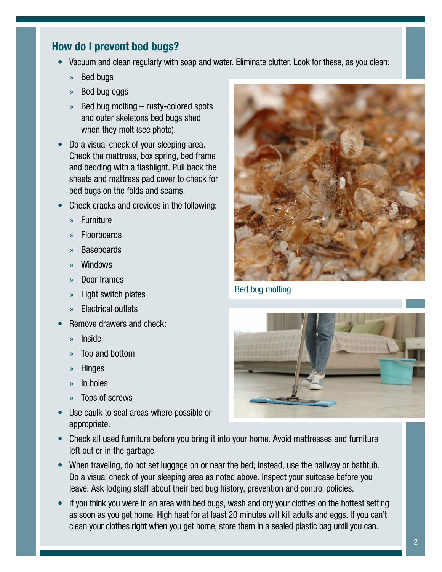## How do I prevent bed bugs?

- Vacuum and clean regularly with soap and water. Eliminate clutter. Look for these, as you clean:
	- » Bed bugs
	- » Bed bug eggs
	- » Bed bug molting rusty-colored spots and outer skeletons bed bugs shed when they molt (see photo).
- Do a visual check of your sleeping area. Check the mattress, box spring, bed frame and bedding with a flashlight. Pull back the sheets and mattress pad cover to check for bed bugs on the folds and seams.
- Check cracks and crevices in the following:
	- » Furniture
	- » Floorboards
	- » Baseboards
	- » Windows
	- » Door frames
	- » Light switch plates
	- » Electrical outlets
- Remove drawers and check:
	- » Inside
	- » Top and bottom
	- » Hinges
	- » In holes
	- » Tops of screws
- Use caulk to seal areas where possible or appropriate.



Bed bug molting



- Check all used furniture before you bring it into your home. Avoid mattresses and furniture left out or in the garbage.
- When traveling, do not set luggage on or near the bed; instead, use the hallway or bathtub. Do a visual check of your sleeping area as noted above. Inspect your suitcase before you leave. Ask lodging staff about their bed bug history, prevention and control policies.
- If you think you were in an area with bed bugs, wash and dry your clothes on the hottest setting as soon as you get home. High heat for at least 20 minutes will kill adults and eggs. If you can't clean your clothes right when you get home, store them in a sealed plastic bag until you can.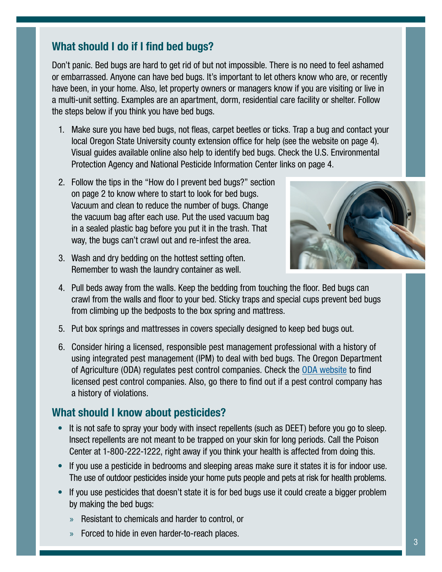## What should I do if I find bed bugs?

Don't panic. Bed bugs are hard to get rid of but not impossible. There is no need to feel ashamed or embarrassed. Anyone can have bed bugs. It's important to let others know who are, or recently have been, in your home. Also, let property owners or managers know if you are visiting or live in a multi-unit setting. Examples are an apartment, dorm, residential care facility or shelter. Follow the steps below if you think you have bed bugs.

- 1. Make sure you have bed bugs, not fleas, carpet beetles or ticks. Trap a bug and contact your local Oregon State University county extension office for help (see the website on page 4). Visual guides available online also help to identify bed bugs. Check the U.S. Environmental Protection Agency and National Pesticide Information Center links on page 4.
- 2. Follow the tips in the "How do I prevent bed bugs?" section on page 2 to know where to start to look for bed bugs. Vacuum and clean to reduce the number of bugs. Change the vacuum bag after each use. Put the used vacuum bag in a sealed plastic bag before you put it in the trash. That way, the bugs can't crawl out and re-infest the area.
- 3. Wash and dry bedding on the hottest setting often. Remember to wash the laundry container as well.



- 4. Pull beds away from the walls. Keep the bedding from touching the floor. Bed bugs can crawl from the walls and floor to your bed. Sticky traps and special cups prevent bed bugs from climbing up the bedposts to the box spring and mattress.
- 5. Put box springs and mattresses in covers specially designed to keep bed bugs out.
- 6. Consider hiring a licensed, responsible pest management professional with a history of using integrated pest management (IPM) to deal with bed bugs. The Oregon Department of Agriculture (ODA) regulates pest control companies. Check the [ODA website](https://www.oregon.gov/oda/programs/IPPM/InsectsSpiders/Pages/BedBugs.aspx) to find licensed pest control companies. Also, go there to find out if a pest control company has a history of violations.

## What should I know about pesticides?

- It is not safe to spray your body with insect repellents (such as DEET) before you go to sleep. Insect repellents are not meant to be trapped on your skin for long periods. Call the Poison Center at 1-800-222-1222, right away if you think your health is affected from doing this.
- If you use a pesticide in bedrooms and sleeping areas make sure it states it is for indoor use. The use of outdoor pesticides inside your home puts people and pets at risk for health problems.
- If you use pesticides that doesn't state it is for bed bugs use it could create a bigger problem by making the bed bugs:
	- » Resistant to chemicals and harder to control, or
	- » Forced to hide in even harder-to-reach places.